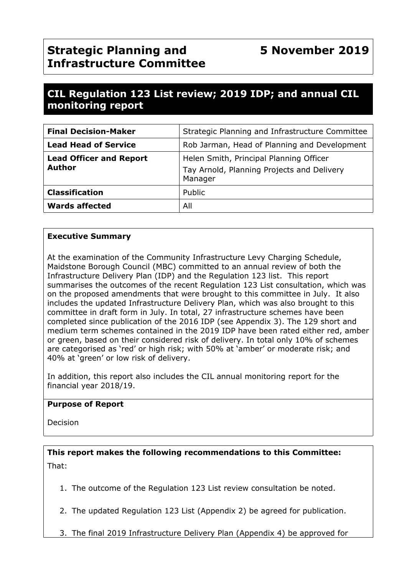## **CIL Regulation 123 List review; 2019 IDP; and annual CIL monitoring report**

| <b>Final Decision-Maker</b>              | Strategic Planning and Infrastructure Committee                                                  |
|------------------------------------------|--------------------------------------------------------------------------------------------------|
| <b>Lead Head of Service</b>              | Rob Jarman, Head of Planning and Development                                                     |
| <b>Lead Officer and Report</b><br>Author | Helen Smith, Principal Planning Officer<br>Tay Arnold, Planning Projects and Delivery<br>Manager |
| <b>Classification</b>                    | Public                                                                                           |
| <b>Wards affected</b>                    | All                                                                                              |

#### **Executive Summary**

At the examination of the Community Infrastructure Levy Charging Schedule, Maidstone Borough Council (MBC) committed to an annual review of both the Infrastructure Delivery Plan (IDP) and the Regulation 123 list. This report summarises the outcomes of the recent Regulation 123 List consultation, which was on the proposed amendments that were brought to this committee in July. It also includes the updated Infrastructure Delivery Plan, which was also brought to this committee in draft form in July. In total, 27 infrastructure schemes have been completed since publication of the 2016 IDP (see Appendix 3). The 129 short and medium term schemes contained in the 2019 IDP have been rated either red, amber or green, based on their considered risk of delivery. In total only 10% of schemes are categorised as 'red' or high risk; with 50% at 'amber' or moderate risk; and 40% at 'green' or low risk of delivery.

In addition, this report also includes the CIL annual monitoring report for the financial year 2018/19.

#### **Purpose of Report**

Decision

**This report makes the following recommendations to this Committee:** That:

1. The outcome of the Regulation 123 List review consultation be noted.

- 2. The updated Regulation 123 List (Appendix 2) be agreed for publication.
- 3. The final 2019 Infrastructure Delivery Plan (Appendix 4) be approved for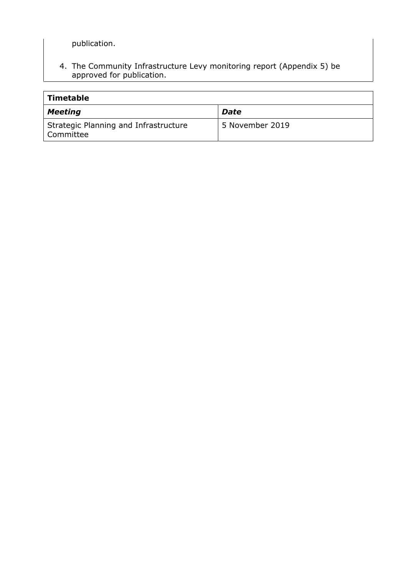publication.

4. The Community Infrastructure Levy monitoring report (Appendix 5) be approved for publication.

| Timetable                                          |                 |
|----------------------------------------------------|-----------------|
| <b>Meeting</b>                                     | <b>Date</b>     |
| Strategic Planning and Infrastructure<br>Committee | 5 November 2019 |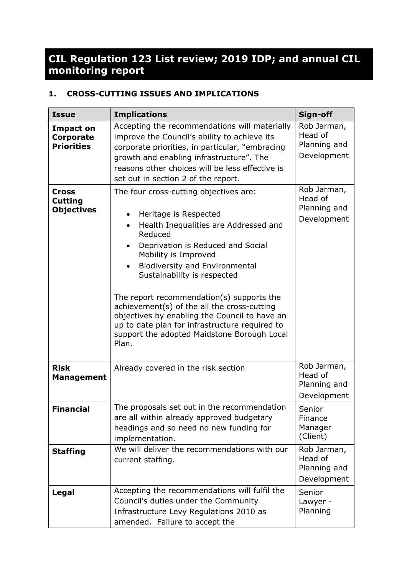# **CIL Regulation 123 List review; 2019 IDP; and annual CIL monitoring report**

## **1. CROSS-CUTTING ISSUES AND IMPLICATIONS**

| <b>Issue</b>                                              | <b>Implications</b>                                                                                                                                                                                                                                                                                                                                                                                                                                                                                                          | Sign-off                                              |
|-----------------------------------------------------------|------------------------------------------------------------------------------------------------------------------------------------------------------------------------------------------------------------------------------------------------------------------------------------------------------------------------------------------------------------------------------------------------------------------------------------------------------------------------------------------------------------------------------|-------------------------------------------------------|
| <b>Impact on</b><br><b>Corporate</b><br><b>Priorities</b> | Accepting the recommendations will materially<br>improve the Council's ability to achieve its<br>corporate priorities, in particular, "embracing<br>growth and enabling infrastructure". The<br>reasons other choices will be less effective is<br>set out in section 2 of the report.                                                                                                                                                                                                                                       | Rob Jarman,<br>Head of<br>Planning and<br>Development |
| <b>Cross</b><br><b>Cutting</b><br><b>Objectives</b>       | The four cross-cutting objectives are:<br>Heritage is Respected<br>$\bullet$<br>Health Inequalities are Addressed and<br>Reduced<br>Deprivation is Reduced and Social<br>Mobility is Improved<br><b>Biodiversity and Environmental</b><br>Sustainability is respected<br>The report recommendation(s) supports the<br>achievement(s) of the all the cross-cutting<br>objectives by enabling the Council to have an<br>up to date plan for infrastructure required to<br>support the adopted Maidstone Borough Local<br>Plan. | Rob Jarman,<br>Head of<br>Planning and<br>Development |
| <b>Risk</b><br><b>Management</b>                          | Already covered in the risk section                                                                                                                                                                                                                                                                                                                                                                                                                                                                                          | Rob Jarman,<br>Head of<br>Planning and<br>Development |
| <b>Financial</b>                                          | The proposals set out in the recommendation<br>are all within already approved budgetary<br>headings and so need no new funding for<br>implementation.                                                                                                                                                                                                                                                                                                                                                                       | Senior<br>Finance<br>Manager<br>(Client)              |
| <b>Staffing</b>                                           | We will deliver the recommendations with our<br>current staffing.                                                                                                                                                                                                                                                                                                                                                                                                                                                            | Rob Jarman,<br>Head of<br>Planning and<br>Development |
| Legal                                                     | Accepting the recommendations will fulfil the<br>Council's duties under the Community<br>Infrastructure Levy Regulations 2010 as<br>amended. Failure to accept the                                                                                                                                                                                                                                                                                                                                                           | Senior<br>Lawyer -<br>Planning                        |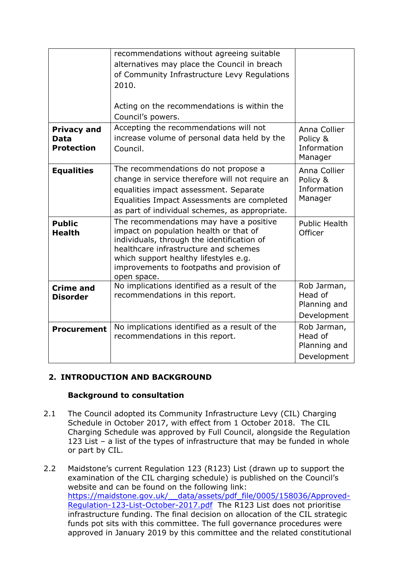|                                                 | recommendations without agreeing suitable<br>alternatives may place the Council in breach<br>of Community Infrastructure Levy Regulations<br>2010.<br>Acting on the recommendations is within the<br>Council's powers.                                                         |                                                       |
|-------------------------------------------------|--------------------------------------------------------------------------------------------------------------------------------------------------------------------------------------------------------------------------------------------------------------------------------|-------------------------------------------------------|
| <b>Privacy and</b><br>Data<br><b>Protection</b> | Accepting the recommendations will not<br>increase volume of personal data held by the<br>Council.                                                                                                                                                                             | Anna Collier<br>Policy &<br>Information<br>Manager    |
| <b>Equalities</b>                               | The recommendations do not propose a<br>change in service therefore will not require an<br>equalities impact assessment. Separate<br>Equalities Impact Assessments are completed<br>as part of individual schemes, as appropriate.                                             | Anna Collier<br>Policy &<br>Information<br>Manager    |
| <b>Public</b><br><b>Health</b>                  | The recommendations may have a positive<br>impact on population health or that of<br>individuals, through the identification of<br>healthcare infrastructure and schemes<br>which support healthy lifestyles e.g.<br>improvements to footpaths and provision of<br>open space. | <b>Public Health</b><br>Officer                       |
| <b>Crime and</b><br><b>Disorder</b>             | No implications identified as a result of the<br>recommendations in this report.                                                                                                                                                                                               | Rob Jarman,<br>Head of<br>Planning and<br>Development |
| <b>Procurement</b>                              | No implications identified as a result of the<br>recommendations in this report.                                                                                                                                                                                               | Rob Jarman,<br>Head of<br>Planning and<br>Development |

## **2. INTRODUCTION AND BACKGROUND**

#### **Background to consultation**

- 2.1 The Council adopted its Community Infrastructure Levy (CIL) Charging Schedule in October 2017, with effect from 1 October 2018. The CIL Charging Schedule was approved by Full Council, alongside the Regulation 123 List – a list of the types of infrastructure that may be funded in whole or part by CIL.
- 2.2 Maidstone's current Regulation 123 (R123) List (drawn up to support the examination of the CIL charging schedule) is published on the Council's website and can be found on the following link: [https://maidstone.gov.uk/\\_\\_data/assets/pdf\\_file/0005/158036/Approved-](https://maidstone.gov.uk/__data/assets/pdf_file/0005/158036/Approved-Regulation-123-List-October-2017.pdf)[Regulation-123-List-October-2017.pdf](https://maidstone.gov.uk/__data/assets/pdf_file/0005/158036/Approved-Regulation-123-List-October-2017.pdf) The R123 List does not prioritise infrastructure funding. The final decision on allocation of the CIL strategic funds pot sits with this committee. The full governance procedures were approved in January 2019 by this committee and the related constitutional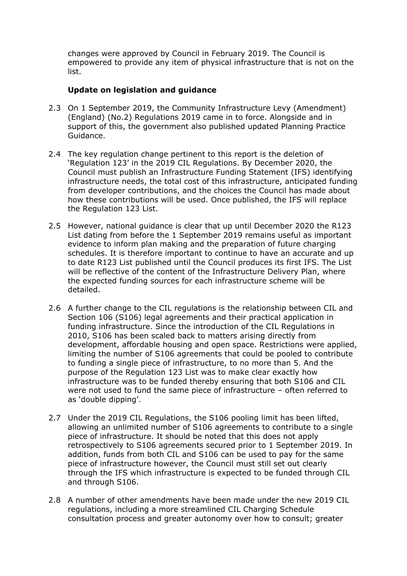changes were approved by Council in February 2019. The Council is empowered to provide any item of physical infrastructure that is not on the list.

#### **Update on legislation and guidance**

- 2.3 On 1 September 2019, the Community Infrastructure Levy (Amendment) (England) (No.2) Regulations 2019 came in to force. Alongside and in support of this, the government also published updated Planning Practice Guidance.
- 2.4 The key regulation change pertinent to this report is the deletion of 'Regulation 123' in the 2019 CIL Regulations. By December 2020, the Council must publish an Infrastructure Funding Statement (IFS) identifying infrastructure needs, the total cost of this infrastructure, anticipated funding from developer contributions, and the choices the Council has made about how these contributions will be used. Once published, the IFS will replace the Regulation 123 List.
- 2.5 However, national guidance is clear that up until December 2020 the R123 List dating from before the 1 September 2019 remains useful as important evidence to inform plan making and the preparation of future charging schedules. It is therefore important to continue to have an accurate and up to date R123 List published until the Council produces its first IFS. The List will be reflective of the content of the Infrastructure Delivery Plan, where the expected funding sources for each infrastructure scheme will be detailed.
- 2.6 A further change to the CIL regulations is the relationship between CIL and Section 106 (S106) legal agreements and their practical application in funding infrastructure. Since the introduction of the CIL Regulations in 2010, S106 has been scaled back to matters arising directly from development, affordable housing and open space. Restrictions were applied, limiting the number of S106 agreements that could be pooled to contribute to funding a single piece of infrastructure, to no more than 5. And the purpose of the Regulation 123 List was to make clear exactly how infrastructure was to be funded thereby ensuring that both S106 and CIL were not used to fund the same piece of infrastructure – often referred to as 'double dipping'.
- 2.7 Under the 2019 CIL Regulations, the S106 pooling limit has been lifted, allowing an unlimited number of S106 agreements to contribute to a single piece of infrastructure. It should be noted that this does not apply retrospectively to S106 agreements secured prior to 1 September 2019. In addition, funds from both CIL and S106 can be used to pay for the same piece of infrastructure however, the Council must still set out clearly through the IFS which infrastructure is expected to be funded through CIL and through S106.
- 2.8 A number of other amendments have been made under the new 2019 CIL regulations, including a more streamlined CIL Charging Schedule consultation process and greater autonomy over how to consult; greater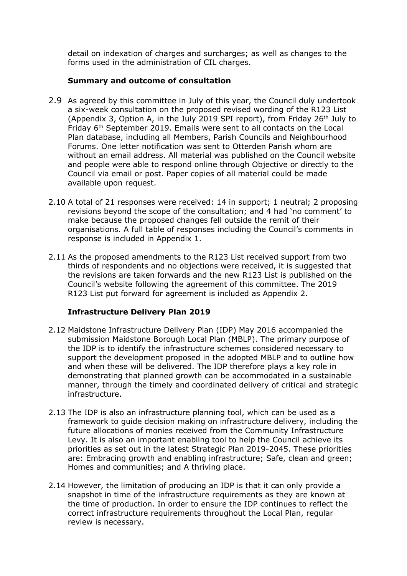detail on indexation of charges and surcharges; as well as changes to the forms used in the administration of CIL charges.

#### **Summary and outcome of consultation**

- 2.9 As agreed by this committee in July of this year, the Council duly undertook a six-week consultation on the proposed revised wording of the R123 List (Appendix 3, Option A, in the July 2019 SPI report), from Friday 26th July to Friday 6th September 2019. Emails were sent to all contacts on the Local Plan database, including all Members, Parish Councils and Neighbourhood Forums. One letter notification was sent to Otterden Parish whom are without an email address. All material was published on the Council website and people were able to respond online through Objective or directly to the Council via email or post. Paper copies of all material could be made available upon request.
- 2.10 A total of 21 responses were received: 14 in support; 1 neutral; 2 proposing revisions beyond the scope of the consultation; and 4 had 'no comment' to make because the proposed changes fell outside the remit of their organisations. A full table of responses including the Council's comments in response is included in Appendix 1.
- 2.11 As the proposed amendments to the R123 List received support from two thirds of respondents and no objections were received, it is suggested that the revisions are taken forwards and the new R123 List is published on the Council's website following the agreement of this committee. The 2019 R123 List put forward for agreement is included as Appendix 2.

## **Infrastructure Delivery Plan 2019**

- 2.12 Maidstone Infrastructure Delivery Plan (IDP) May 2016 accompanied the submission Maidstone Borough Local Plan (MBLP). The primary purpose of the IDP is to identify the infrastructure schemes considered necessary to support the development proposed in the adopted MBLP and to outline how and when these will be delivered. The IDP therefore plays a key role in demonstrating that planned growth can be accommodated in a sustainable manner, through the timely and coordinated delivery of critical and strategic infrastructure.
- 2.13 The IDP is also an infrastructure planning tool, which can be used as a framework to guide decision making on infrastructure delivery, including the future allocations of monies received from the Community Infrastructure Levy. It is also an important enabling tool to help the Council achieve its priorities as set out in the latest Strategic Plan 2019-2045. These priorities are: Embracing growth and enabling infrastructure; Safe, clean and green; Homes and communities; and A thriving place.
- 2.14 However, the limitation of producing an IDP is that it can only provide a snapshot in time of the infrastructure requirements as they are known at the time of production. In order to ensure the IDP continues to reflect the correct infrastructure requirements throughout the Local Plan, regular review is necessary.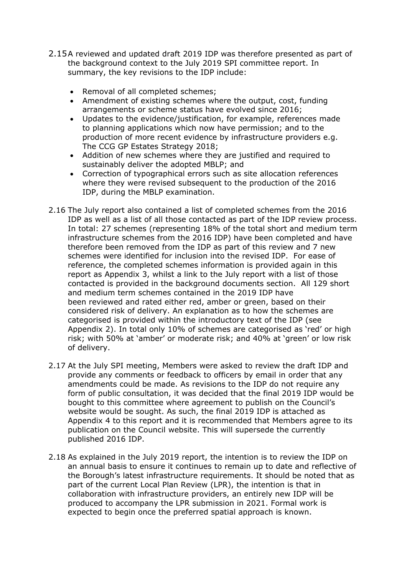- 2.15A reviewed and updated draft 2019 IDP was therefore presented as part of the background context to the July 2019 SPI committee report. In summary, the key revisions to the IDP include:
	- Removal of all completed schemes;
	- Amendment of existing schemes where the output, cost, funding arrangements or scheme status have evolved since 2016;
	- Updates to the evidence/justification, for example, references made to planning applications which now have permission; and to the production of more recent evidence by infrastructure providers e.g. The CCG GP Estates Strategy 2018;
	- Addition of new schemes where they are justified and required to sustainably deliver the adopted MBLP; and
	- Correction of typographical errors such as site allocation references where they were revised subsequent to the production of the 2016 IDP, during the MBLP examination.
- 2.16 The July report also contained a list of completed schemes from the 2016 IDP as well as a list of all those contacted as part of the IDP review process. In total: 27 schemes (representing 18% of the total short and medium term infrastructure schemes from the 2016 IDP) have been completed and have therefore been removed from the IDP as part of this review and 7 new schemes were identified for inclusion into the revised IDP. For ease of reference, the completed schemes information is provided again in this report as Appendix 3, whilst a link to the July report with a list of those contacted is provided in the background documents section. All 129 short and medium term schemes contained in the 2019 IDP have been reviewed and rated either red, amber or green, based on their considered risk of delivery. An explanation as to how the schemes are categorised is provided within the introductory text of the IDP (see Appendix 2). In total only 10% of schemes are categorised as 'red' or high risk; with 50% at 'amber' or moderate risk; and 40% at 'green' or low risk of delivery.
- 2.17 At the July SPI meeting, Members were asked to review the draft IDP and provide any comments or feedback to officers by email in order that any amendments could be made. As revisions to the IDP do not require any form of public consultation, it was decided that the final 2019 IDP would be bought to this committee where agreement to publish on the Council's website would be sought. As such, the final 2019 IDP is attached as Appendix 4 to this report and it is recommended that Members agree to its publication on the Council website. This will supersede the currently published 2016 IDP.
- 2.18 As explained in the July 2019 report, the intention is to review the IDP on an annual basis to ensure it continues to remain up to date and reflective of the Borough's latest infrastructure requirements. It should be noted that as part of the current Local Plan Review (LPR), the intention is that in collaboration with infrastructure providers, an entirely new IDP will be produced to accompany the LPR submission in 2021. Formal work is expected to begin once the preferred spatial approach is known.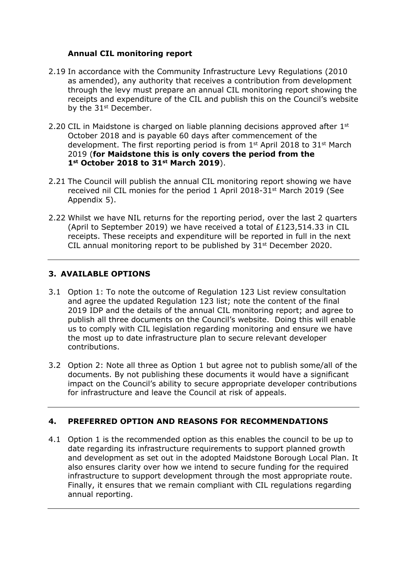#### **Annual CIL monitoring report**

- 2.19 In accordance with the Community Infrastructure Levy Regulations (2010 as amended), any authority that receives a contribution from development through the levy must prepare an annual CIL monitoring report showing the receipts and expenditure of the CIL and publish this on the Council's website by the 31<sup>st</sup> December.
- 2.20 CIL in Maidstone is charged on liable planning decisions approved after  $1<sup>st</sup>$ October 2018 and is payable 60 days after commencement of the development. The first reporting period is from 1<sup>st</sup> April 2018 to 31<sup>st</sup> March 2019 (**for Maidstone this is only covers the period from the 1st October 2018 to 31st March 2019**).
- 2.21 The Council will publish the annual CIL monitoring report showing we have received nil CIL monies for the period 1 April 2018-31<sup>st</sup> March 2019 (See Appendix 5).
- 2.22 Whilst we have NIL returns for the reporting period, over the last 2 quarters (April to September 2019) we have received a total of £123,514.33 in CIL receipts. These receipts and expenditure will be reported in full in the next CIL annual monitoring report to be published by  $31<sup>st</sup>$  December 2020.

## **3. AVAILABLE OPTIONS**

- 3.1 Option 1: To note the outcome of Regulation 123 List review consultation and agree the updated Regulation 123 list; note the content of the final 2019 IDP and the details of the annual CIL monitoring report; and agree to publish all three documents on the Council's website. Doing this will enable us to comply with CIL legislation regarding monitoring and ensure we have the most up to date infrastructure plan to secure relevant developer contributions.
- 3.2 Option 2: Note all three as Option 1 but agree not to publish some/all of the documents. By not publishing these documents it would have a significant impact on the Council's ability to secure appropriate developer contributions for infrastructure and leave the Council at risk of appeals.

## **4. PREFERRED OPTION AND REASONS FOR RECOMMENDATIONS**

4.1 Option 1 is the recommended option as this enables the council to be up to date regarding its infrastructure requirements to support planned growth and development as set out in the adopted Maidstone Borough Local Plan. It also ensures clarity over how we intend to secure funding for the required infrastructure to support development through the most appropriate route. Finally, it ensures that we remain compliant with CIL regulations regarding annual reporting.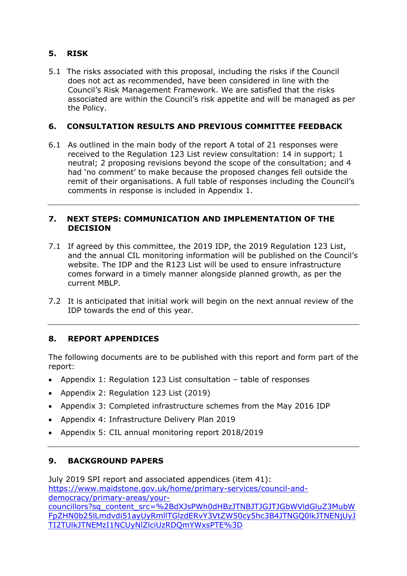## **5. RISK**

5.1 The risks associated with this proposal, including the risks if the Council does not act as recommended, have been considered in line with the Council's Risk Management Framework. We are satisfied that the risks associated are within the Council's risk appetite and will be managed as per the Policy.

## **6. CONSULTATION RESULTS AND PREVIOUS COMMITTEE FEEDBACK**

6.1 As outlined in the main body of the report A total of 21 responses were received to the Regulation 123 List review consultation: 14 in support; 1 neutral; 2 proposing revisions beyond the scope of the consultation; and 4 had 'no comment' to make because the proposed changes fell outside the remit of their organisations. A full table of responses including the Council's comments in response is included in Appendix 1.

#### **7. NEXT STEPS: COMMUNICATION AND IMPLEMENTATION OF THE DECISION**

- 7.1 If agreed by this committee, the 2019 IDP, the 2019 Regulation 123 List, and the annual CIL monitoring information will be published on the Council's website. The IDP and the R123 List will be used to ensure infrastructure comes forward in a timely manner alongside planned growth, as per the current MBLP.
- 7.2 It is anticipated that initial work will begin on the next annual review of the IDP towards the end of this year.

## **8. REPORT APPENDICES**

The following documents are to be published with this report and form part of the report:

- Appendix 1: Regulation 123 List consultation table of responses
- Appendix 2: Regulation 123 List (2019)
- Appendix 3: Completed infrastructure schemes from the May 2016 IDP
- Appendix 4: Infrastructure Delivery Plan 2019
- Appendix 5: CIL annual monitoring report 2018/2019

## **9. BACKGROUND PAPERS**

July 2019 SPI report and associated appendices (item 41): [https://www.maidstone.gov.uk/home/primary-services/council-and](https://www.maidstone.gov.uk/home/primary-services/council-and-democracy/primary-areas/your-councillors?sq_content_src=%2BdXJsPWh0dHBzJTNBJTJGJTJGbWVldGluZ3MubWFpZHN0b25lLmdvdi51ayUyRmllTGlzdERvY3VtZW50cy5hc3B4JTNGQ0lkJTNENjUyJTI2TUlkJTNEMzI1NCUyNlZlciUzRDQmYWxsPTE%3D)[democracy/primary-areas/your](https://www.maidstone.gov.uk/home/primary-services/council-and-democracy/primary-areas/your-councillors?sq_content_src=%2BdXJsPWh0dHBzJTNBJTJGJTJGbWVldGluZ3MubWFpZHN0b25lLmdvdi51ayUyRmllTGlzdERvY3VtZW50cy5hc3B4JTNGQ0lkJTNENjUyJTI2TUlkJTNEMzI1NCUyNlZlciUzRDQmYWxsPTE%3D)[councillors?sq\\_content\\_src=%2BdXJsPWh0dHBzJTNBJTJGJTJGbWVldGluZ3MubW](https://www.maidstone.gov.uk/home/primary-services/council-and-democracy/primary-areas/your-councillors?sq_content_src=%2BdXJsPWh0dHBzJTNBJTJGJTJGbWVldGluZ3MubWFpZHN0b25lLmdvdi51ayUyRmllTGlzdERvY3VtZW50cy5hc3B4JTNGQ0lkJTNENjUyJTI2TUlkJTNEMzI1NCUyNlZlciUzRDQmYWxsPTE%3D) [FpZHN0b25lLmdvdi51ayUyRmllTGlzdERvY3VtZW50cy5hc3B4JTNGQ0lkJTNENjUyJ](https://www.maidstone.gov.uk/home/primary-services/council-and-democracy/primary-areas/your-councillors?sq_content_src=%2BdXJsPWh0dHBzJTNBJTJGJTJGbWVldGluZ3MubWFpZHN0b25lLmdvdi51ayUyRmllTGlzdERvY3VtZW50cy5hc3B4JTNGQ0lkJTNENjUyJTI2TUlkJTNEMzI1NCUyNlZlciUzRDQmYWxsPTE%3D) [TI2TUlkJTNEMzI1NCUyNlZlciUzRDQmYWxsPTE%3D](https://www.maidstone.gov.uk/home/primary-services/council-and-democracy/primary-areas/your-councillors?sq_content_src=%2BdXJsPWh0dHBzJTNBJTJGJTJGbWVldGluZ3MubWFpZHN0b25lLmdvdi51ayUyRmllTGlzdERvY3VtZW50cy5hc3B4JTNGQ0lkJTNENjUyJTI2TUlkJTNEMzI1NCUyNlZlciUzRDQmYWxsPTE%3D)